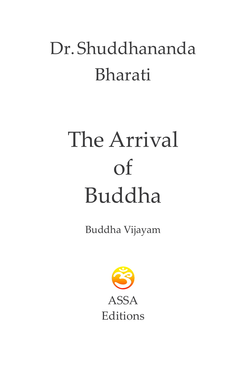## Dr.Shuddhananda Bharati

# The Arrival of Buddha

Buddha Vijayam

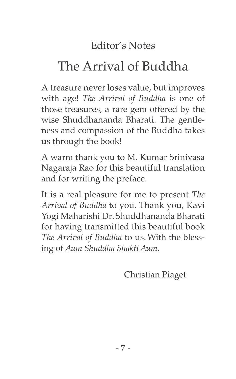## Editor's Notes

## The Arrival of Buddha

A treasure never loses value, but improves with age! *The Arrival of Buddha* is one of those treasures, a rare gem offered by the wise Shuddhananda Bharati. The gentleness and compassion of the Buddha takes us through the book!

A warm thank you to M. Kumar Srinivasa Nagaraja Rao for this beautiful translation and for writing the preface.

It is a real pleasure for me to present *The Arrival of Buddha* to you. Thank you, Kavi Yogi Maharishi Dr.Shuddhananda Bharati for having transmitted this beautiful book *The Arrival of Buddha* to us.With the blessing of *Aum Shuddha Shakti Aum*.

Christian Piaget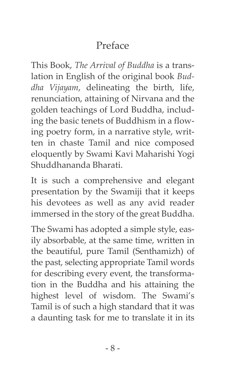## Preface

This Book, *The Arrival of Buddha* is a translation in English of the original book *Buddha Vijayam*, delineating the birth, life, renunciation, attaining of Nirvana and the golden teachings of Lord Buddha, including the basic tenets of Buddhism in a flowing poetry form, in a narrative style, written in chaste Tamil and nice composed eloquently by Swami Kavi Maharishi Yogi Shuddhananda Bharati.

It is such a comprehensive and elegant presentation by the Swamiji that it keeps his devotees as well as any avid reader immersed in the story of the great Buddha.

The Swami has adopted a simple style, easily absorbable, at the same time, written in the beautiful, pure Tamil (Senthamizh) of the past, selecting appropriate Tamil words for describing every event, the transformation in the Buddha and his attaining the highest level of wisdom. The Swami's Tamil is of such a high standard that it was a daunting task for me to translate it in its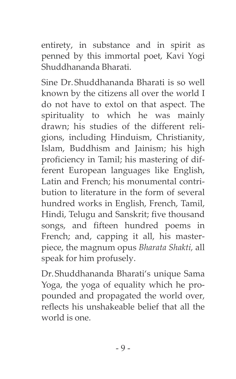entirety, in substance and in spirit as penned by this immortal poet, Kavi Yogi Shuddhananda Bharati.

Sine Dr.Shuddhananda Bharati is so well known by the citizens all over the world I do not have to extol on that aspect. The spirituality to which he was mainly drawn; his studies of the different religions, including Hinduism, Christianity, Islam, Buddhism and Jainism; his high proficiency in Tamil; his mastering of different European languages like English, Latin and French; his monumental contribution to literature in the form of several hundred works in English, French, Tamil, Hindi, Telugu and Sanskrit; five thousand songs, and fifteen hundred poems in French; and, capping it all, his masterpiece, the magnum opus *Bharata Shakti,* all speak for him profusely.

Dr.Shuddhananda Bharati's unique Sama Yoga, the yoga of equality which he propounded and propagated the world over, reflects his unshakeable belief that all the world is one.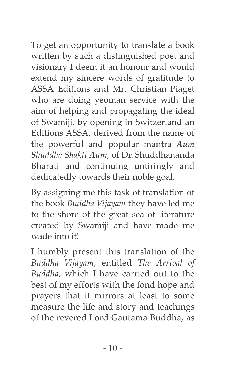To get an opportunity to translate a book written by such a distinguished poet and visionary I deem it an honour and would extend my sincere words of gratitude to ASSA Editions and Mr. Christian Piaget who are doing yeoman service with the aim of helping and propagating the ideal of Swamiji, by opening in Switzerland an Editions ASSA, derived from the name of the powerful and popular mantra *Aum Shuddha Shakti Aum*, of Dr.Shuddhananda Bharati and continuing untiringly and dedicatedly towards their noble goal.

By assigning me this task of translation of the book *Buddha Vijayam* they have led me to the shore of the great sea of literature created by Swamiji and have made me wade into it!

I humbly present this translation of the *Buddha Vijayam*, entitled *The Arrival of Buddha*, which I have carried out to the best of my efforts with the fond hope and prayers that it mirrors at least to some measure the life and story and teachings of the revered Lord Gautama Buddha, as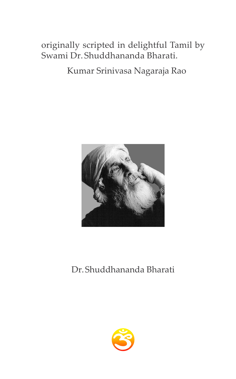originally scripted in delightful Tamil by Swami Dr. Shuddhananda Bharati.

Kumar Srinivasa Nagaraja Rao



#### Dr.Shuddhananda Bharati

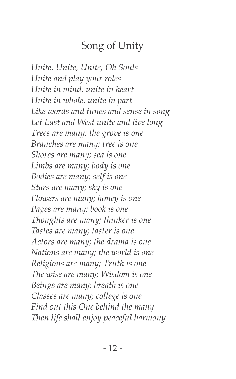#### Song of Unity

*Unite. Unite, Unite, Oh Souls Unite and play your roles Unite in mind, unite in heart Unite in whole, unite in part Like words and tunes and sense in song Let East and West unite and live long Trees are many; the grove is one Branches are many; tree is one Shores are many; sea is one Limbs are many; body is one Bodies are many; self is one Stars are many; sky is one Flowers are many; honey is one Pages are many; book is one Thoughts are many; thinker is one Tastes are many; taster is one Actors are many; the drama is one Nations are many; the world is one Religions are many; Truth is one The wise are many; Wisdom is one Beings are many; breath is one Classes are many; college is one Find out this One behind the many Then life shall enjoy peaceful harmony*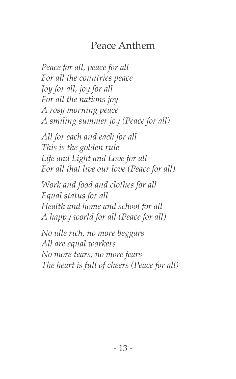## Peace Anthem

*Peace for all, peace for all For all the countries peace Joy for all, joy for all For all the nations joy A rosy morning peace A smiling summer joy (Peace for all)*

*All for each and each for all This is the golden rule Life and Light and Love for all For all that live our love (Peace for all)*

*Work and food and clothes for all Equal status for all Health and home and school for all A happy world for all (Peace for all)*

*No idle rich, no more beggars All are equal workers No more tears, no more fears The heart is full of cheers (Peace for all)*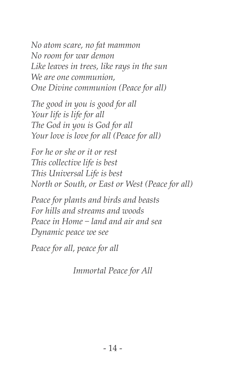*No atom scare, no fat mammon No room for war demon Like leaves in trees, like rays in the sun We are one communion, One Divine communion (Peace for all)*

*The good in you is good for all Your life is life for all The God in you is God for all Your love is love for all (Peace for all)*

*For he or she or it or rest This collective life is best This Universal Life is best North or South, or East or West (Peace for all)*

*Peace for plants and birds and beasts For hills and streams and woods Peace in Home − land and air and sea Dynamic peace we see*

*Peace for all, peace for all*

*Immortal Peace for All*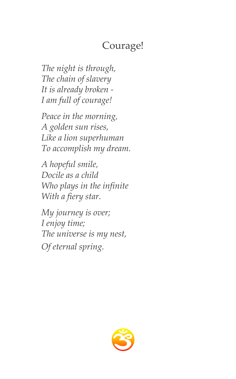## Courage!

*The night is through, The chain of slavery It is already broken - I am full of courage!*

*Peace in the morning, A golden sun rises, Like a lion superhuman To accomplish my dream.*

*A hopeful smile, Docile as a child Who plays in the infinite With a fiery star.*

*My journey is over; I enjoy time; The universe is my nest, Of eternal spring.*

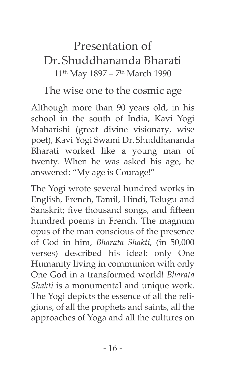## Presentation of Dr.Shuddhananda Bharati 11<sup>th</sup> May 1897 – 7<sup>th</sup> March 1990

#### The wise one to the cosmic age

Although more than 90 years old, in his school in the south of India, Kavi Yogi Maharishi (great divine visionary, wise poet), Kavi Yogi Swami Dr.Shuddhananda Bharati worked like a young man of twenty. When he was asked his age, he answered: "My age is Courage!"

The Yogi wrote several hundred works in English, French, Tamil, Hindi, Telugu and Sanskrit; five thousand songs, and fifteen hundred poems in French. The magnum opus of the man conscious of the presence of God in him, *Bharata Shakti,* (in 50,000 verses) described his ideal: only One Humanity living in communion with only One God in a transformed world! *Bharata Shakti* is a monumental and unique work. The Yogi depicts the essence of all the religions, of all the prophets and saints, all the approaches of Yoga and all the cultures on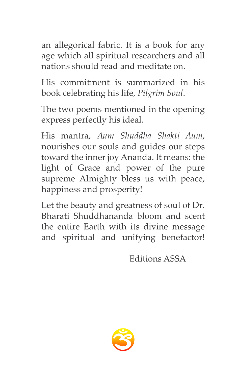an allegorical fabric. It is a book for any age which all spiritual researchers and all nations should read and meditate on.

His commitment is summarized in his book celebrating his life, *Pilgrim Soul*.

The two poems mentioned in the opening express perfectly his ideal.

His mantra, *Aum Shuddha Shakti Aum*, nourishes our souls and guides our steps toward the inner joy Ananda. It means: the light of Grace and power of the pure supreme Almighty bless us with peace, happiness and prosperity!

Let the beauty and greatness of soul of Dr. Bharati Shuddhananda bloom and scent the entire Earth with its divine message and spiritual and unifying benefactor!

Editions ASSA

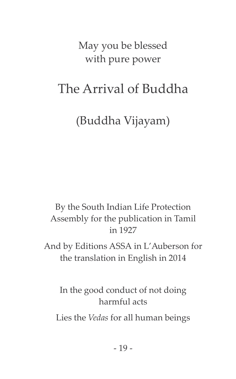May you be blessed with pure power

## The Arrival of Buddha

(Buddha Vijayam)

By the South Indian Life Protection Assembly for the publication in Tamil in 1927

And by Editions ASSA in L'Auberson for the translation in English in 2014

In the good conduct of not doing harmful acts

Lies the *Vedas* for all human beings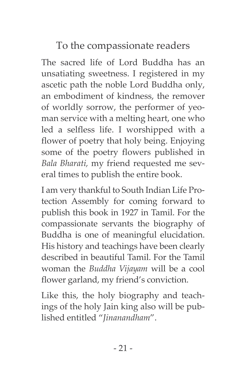To the compassionate readers

The sacred life of Lord Buddha has an unsatiating sweetness. I registered in my ascetic path the noble Lord Buddha only, an embodiment of kindness, the remover of worldly sorrow, the performer of yeoman service with a melting heart, one who led a selfless life. I worshipped with a flower of poetry that holy being. Enjoying some of the poetry flowers published in *Bala Bharati,* my friend requested me several times to publish the entire book.

I am very thankful to South Indian Life Protection Assembly for coming forward to publish this book in 1927 in Tamil. For the compassionate servants the biography of Buddha is one of meaningful elucidation. His history and teachings have been clearly described in beautiful Tamil. For the Tamil woman the *Buddha Vijayam* will be a cool flower garland, my friend's conviction.

Like this, the holy biography and teachings of the holy Jain king also will be published entitled "*Jinanandham*".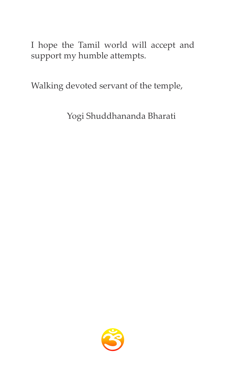I hope the Tamil world will accept and support my humble attempts.

Walking devoted servant of the temple,

Yogi Shuddhananda Bharati

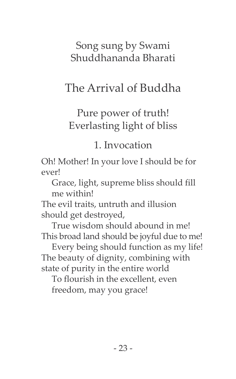Song sung by Swami Shuddhananda Bharati

## The Arrival of Buddha

## Pure power of truth! Everlasting light of bliss

#### 1. Invocation

Oh! Mother! In your love I should be for ever!

 Grace, light, supreme bliss should fill me within!

The evil traits, untruth and illusion should get destroyed,

 True wisdom should abound in me! This broad land should be joyful due to me!

 Every being should function as my life! The beauty of dignity, combining with state of purity in the entire world

 To flourish in the excellent, even freedom, may you grace!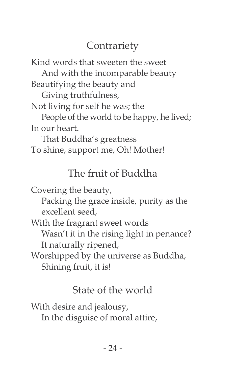## **Contrariety**

Kind words that sweeten the sweet

 And with the incomparable beauty Beautifying the beauty and

Giving truthfulness,

Not living for self he was; the

 People of the world to be happy, he lived; In our heart.

 That Buddha's greatness To shine, support me, Oh! Mother!

## The fruit of Buddha

Covering the beauty,

 Packing the grace inside, purity as the excellent seed,

With the fragrant sweet words

 Wasn't it in the rising light in penance? It naturally ripened,

Worshipped by the universe as Buddha, Shining fruit, it is!

## State of the world

With desire and jealousy, In the disguise of moral attire,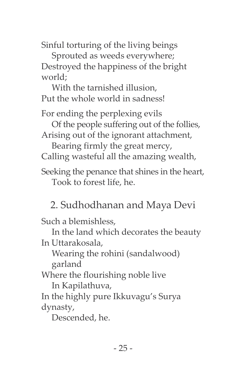Sinful torturing of the living beings

 Sprouted as weeds everywhere; Destroyed the happiness of the bright world;

 With the tarnished illusion, Put the whole world in sadness!

For ending the perplexing evils

Of the people suffering out of the follies,

Arising out of the ignorant attachment, Bearing firmly the great mercy,

Calling wasteful all the amazing wealth,

Seeking the penance that shines in the heart, Took to forest life, he.

2. Sudhodhanan and Maya Devi

Such a blemishless,

 In the land which decorates the beauty In Uttarakosala,

 Wearing the rohini (sandalwood) garland

Where the flourishing noble live

In Kapilathuva,

In the highly pure Ikkuvagu's Surya dynasty,

Descended, he.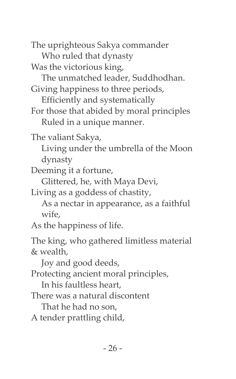The uprighteous Sakya commander

Who ruled that dynasty

Was the victorious king,

The unmatched leader, Suddhodhan.

Giving happiness to three periods,

Efficiently and systematically

For those that abided by moral principles Ruled in a unique manner.

The valiant Sakya,

 Living under the umbrella of the Moon dynasty

Deeming it a fortune,

Glittered, he, with Maya Devi,

Living as a goddess of chastity,

 As a nectar in appearance, as a faithful wife,

As the happiness of life.

The king, who gathered limitless material & wealth,

Joy and good deeds,

Protecting ancient moral principles,

In his faultless heart,

There was a natural discontent

That he had no son,

A tender prattling child,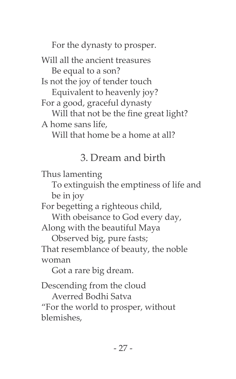For the dynasty to prosper.

Will all the ancient treasures Be equal to a son? Is not the joy of tender touch Equivalent to heavenly joy? For a good, graceful dynasty Will that not be the fine great light? A home sans life,

Will that home be a home at all?

#### 3. Dream and birth

Thus lamenting

 To extinguish the emptiness of life and be in joy

For begetting a righteous child,

 With obeisance to God every day, Along with the beautiful Maya

 Observed big, pure fasts; That resemblance of beauty, the noble woman

Got a rare big dream.

Descending from the cloud

 Averred Bodhi Satva "For the world to prosper, without blemishes,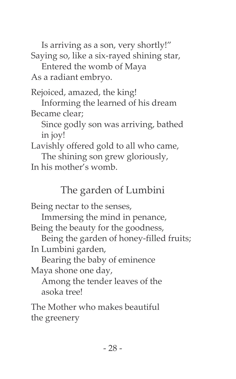Is arriving as a son, very shortly!" Saying so, like a six-rayed shining star, Entered the womb of Maya

As a radiant embryo.

Rejoiced, amazed, the king!

 Informing the learned of his dream Became clear;

 Since godly son was arriving, bathed in joy!

Lavishly offered gold to all who came, The shining son grew gloriously,

In his mother's womb.

## The garden of Lumbini

Being nectar to the senses,

 Immersing the mind in penance, Being the beauty for the goodness,

 Being the garden of honey-filled fruits; In Lumbini garden,

 Bearing the baby of eminence Maya shone one day,

 Among the tender leaves of the asoka tree!

The Mother who makes beautiful the greenery